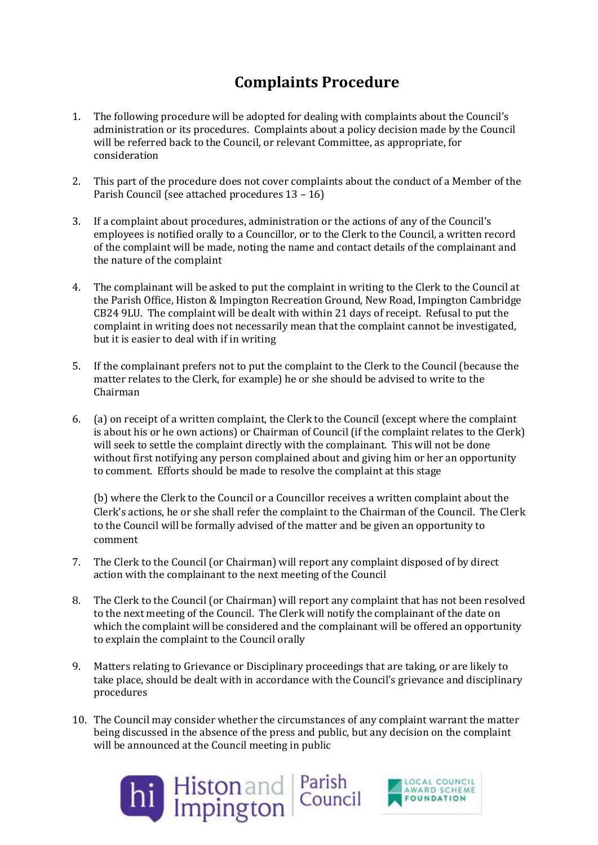## **Complaints Procedure**

- 1. The following procedure will be adopted for dealing with complaints about the Council's administration or its procedures. Complaints about a policy decision made by the Council will be referred back to the Council, or relevant Committee, as appropriate, for consideration
- 2. This part of the procedure does not cover complaints about the conduct of a Member of the Parish Council (see attached procedures 13 – 16)
- 3. If a complaint about procedures, administration or the actions of any of the Council's employees is notified orally to a Councillor, or to the Clerk to the Council, a written record of the complaint will be made, noting the name and contact details of the complainant and the nature of the complaint
- 4. The complainant will be asked to put the complaint in writing to the Clerk to the Council at the Parish Office, Histon & Impington Recreation Ground, New Road, Impington Cambridge CB24 9LU. The complaint will be dealt with within 21 days of receipt. Refusal to put the complaint in writing does not necessarily mean that the complaint cannot be investigated, but it is easier to deal with if in writing
- 5. If the complainant prefers not to put the complaint to the Clerk to the Council (because the matter relates to the Clerk, for example) he or she should be advised to write to the Chairman
- 6. (a) on receipt of a written complaint, the Clerk to the Council (except where the complaint is about his or he own actions) or Chairman of Council (if the complaint relates to the Clerk) will seek to settle the complaint directly with the complainant. This will not be done without first notifying any person complained about and giving him or her an opportunity to comment. Efforts should be made to resolve the complaint at this stage

(b) where the Clerk to the Council or a Councillor receives a written complaint about the Clerk's actions, he or she shall refer the complaint to the Chairman of the Council. The Clerk to the Council will be formally advised of the matter and be given an opportunity to comment

- 7. The Clerk to the Council (or Chairman) will report any complaint disposed of by direct action with the complainant to the next meeting of the Council
- 8. The Clerk to the Council (or Chairman) will report any complaint that has not been resolved to the next meeting of the Council. The Clerk will notify the complainant of the date on which the complaint will be considered and the complainant will be offered an opportunity to explain the complaint to the Council orally
- 9. Matters relating to Grievance or Disciplinary proceedings that are taking, or are likely to take place, should be dealt with in accordance with the Council's grievance and disciplinary procedures
- 10. The Council may consider whether the circumstances of any complaint warrant the matter being discussed in the absence of the press and public, but any decision on the complaint will be announced at the Council meeting in public